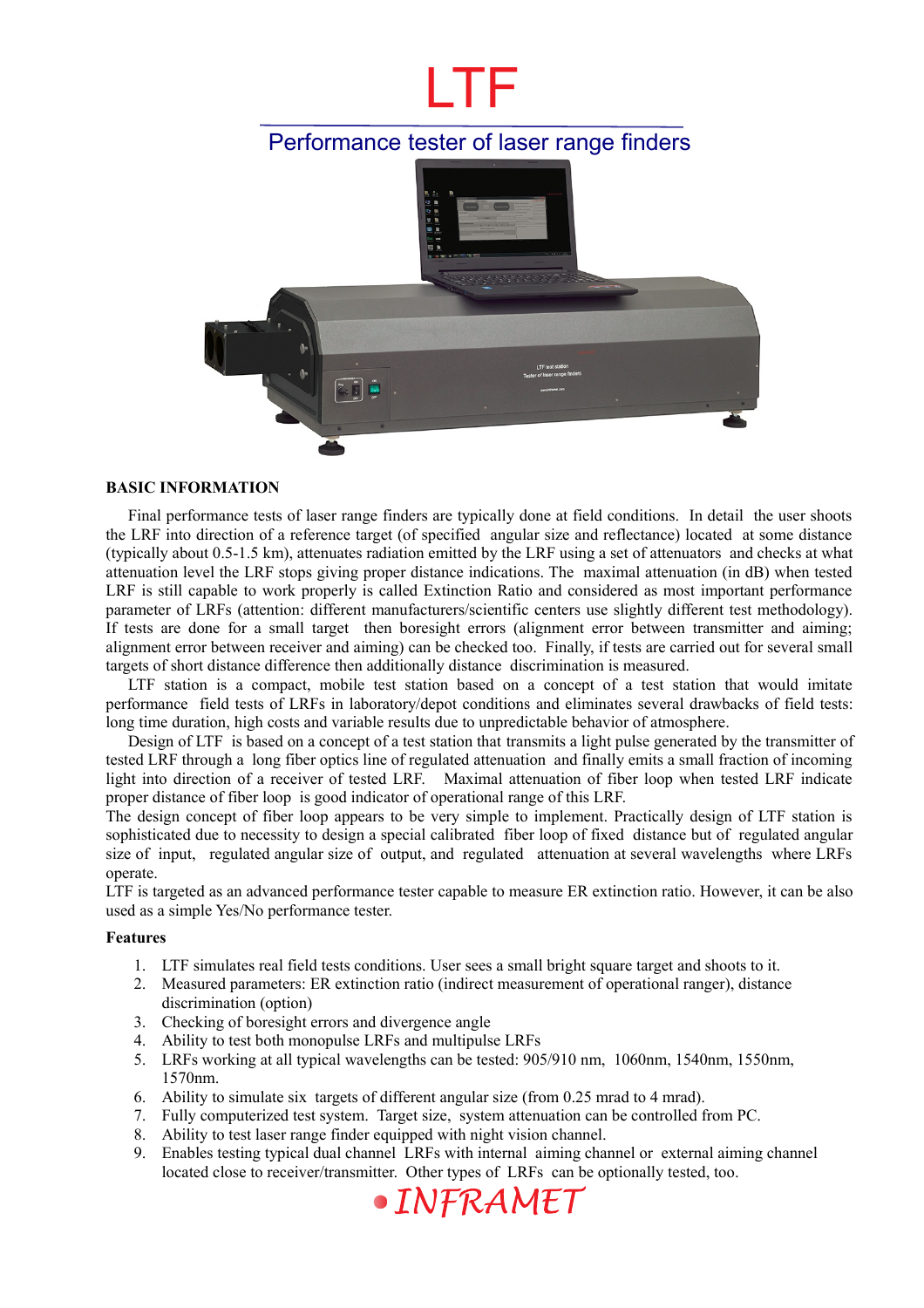# LTF

## Performance tester of laser range finders



#### **BASIC INFORMATION**

Final performance tests of laser range finders are typically done at field conditions. In detail the user shoots the LRF into direction of a reference target (of specified angular size and reflectance) located at some distance (typically about 0.5-1.5 km), attenuates radiation emitted by the LRF using a set of attenuators and checks at what attenuation level the LRF stops giving proper distance indications. The maximal attenuation (in dB) when tested LRF is still capable to work properly is called Extinction Ratio and considered as most important performance parameter of LRFs (attention: different manufacturers/scientific centers use slightly different test methodology). If tests are done for a small target then boresight errors (alignment error between transmitter and aiming; alignment error between receiver and aiming) can be checked too. Finally, if tests are carried out for several small targets of short distance difference then additionally distance discrimination is measured.

LTF station is a compact, mobile test station based on a concept of a test station that would imitate performance field tests of LRFs in laboratory/depot conditions and eliminates several drawbacks of field tests: long time duration, high costs and variable results due to unpredictable behavior of atmosphere.

Design of LTF is based on a concept of a test station that transmits a light pulse generated by the transmitter of tested LRF through a long fiber optics line of regulated attenuation and finally emits a small fraction of incoming light into direction of a receiver of tested LRF. Maximal attenuation of fiber loop when tested LRF indicate proper distance of fiber loop is good indicator of operational range of this LRF.

The design concept of fiber loop appears to be very simple to implement. Practically design of LTF station is sophisticated due to necessity to design a special calibrated fiber loop of fixed distance but of regulated angular size of input, regulated angular size of output, and regulated attenuation at several wavelengths where LRFs operate.

LTF is targeted as an advanced performance tester capable to measure ER extinction ratio. However, it can be also used as a simple Yes/No performance tester.

#### **Features**

- 1. LTF simulates real field tests conditions. User sees a small bright square target and shoots to it.
- 2. Measured parameters: ER extinction ratio (indirect measurement of operational ranger), distance discrimination (option)
- 3. Checking of boresight errors and divergence angle
- 4. Ability to test both monopulse LRFs and multipulse LRFs
- 5. LRFs working at all typical wavelengths can be tested: 905/910 nm, 1060nm, 1540nm, 1550nm, 1570nm.
- 6. Ability to simulate six targets of different angular size (from 0.25 mrad to 4 mrad).
- 7. Fully computerized test system. Target size, system attenuation can be controlled from PC.
- 8. Ability to test laser range finder equipped with night vision channel.
- 9. Enables testing typical dual channel LRFs with internal aiming channel or external aiming channel located close to receiver/transmitter. Other types of LRFs can be optionally tested, too.

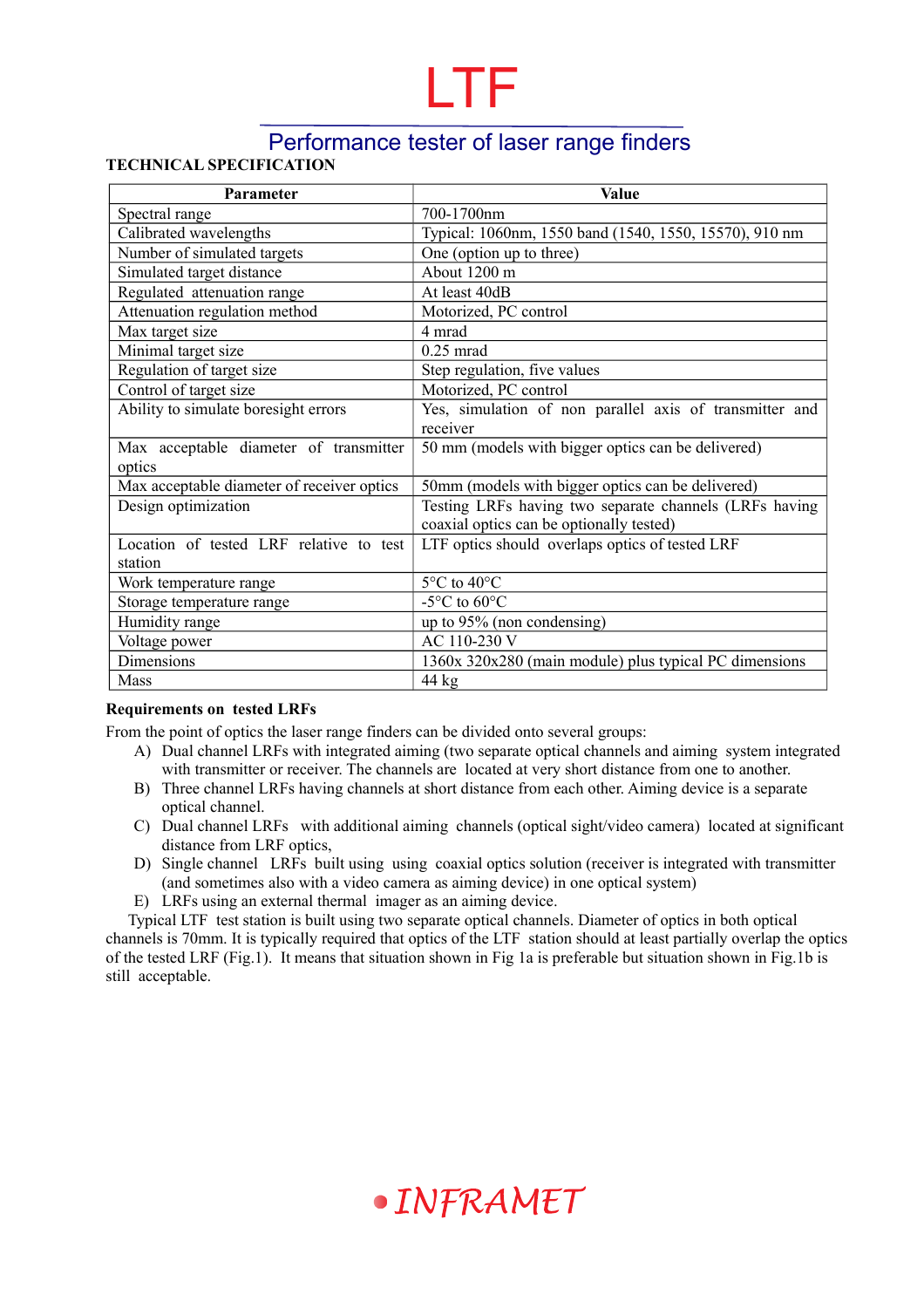## LTF

## Performance tester of laser range finders

#### **TECHNICAL SPECIFICATION**

| Parameter                                  | <b>Value</b>                                            |
|--------------------------------------------|---------------------------------------------------------|
| Spectral range                             | 700-1700nm                                              |
| Calibrated wavelengths                     | Typical: 1060nm, 1550 band (1540, 1550, 15570), 910 nm  |
| Number of simulated targets                | One (option up to three)                                |
| Simulated target distance                  | About 1200 m                                            |
| Regulated attenuation range                | At least 40dB                                           |
| Attenuation regulation method              | Motorized, PC control                                   |
| Max target size                            | 4 mrad                                                  |
| Minimal target size                        | $0.25$ mrad                                             |
| Regulation of target size                  | Step regulation, five values                            |
| Control of target size                     | Motorized, PC control                                   |
| Ability to simulate boresight errors       | Yes, simulation of non parallel axis of transmitter and |
|                                            | receiver                                                |
| Max acceptable diameter of transmitter     | 50 mm (models with bigger optics can be delivered)      |
| optics                                     |                                                         |
| Max acceptable diameter of receiver optics | 50mm (models with bigger optics can be delivered)       |
| Design optimization                        | Testing LRFs having two separate channels (LRFs having  |
|                                            | coaxial optics can be optionally tested)                |
| Location of tested LRF relative to test    | LTF optics should overlaps optics of tested LRF         |
| station                                    |                                                         |
| Work temperature range                     | 5°C to 40°C                                             |
| Storage temperature range                  | -5 $\rm ^{\circ}C$ to 60 $\rm ^{\circ}C$                |
| Humidity range                             | up to 95% (non condensing)                              |
| Voltage power                              | AC 110-230 V                                            |
| Dimensions                                 | 1360x 320x280 (main module) plus typical PC dimensions  |
| Mass                                       | $44 \text{ kg}$                                         |

#### **Requirements on tested LRFs**

From the point of optics the laser range finders can be divided onto several groups:

- A) Dual channel LRFs with integrated aiming (two separate optical channels and aiming system integrated with transmitter or receiver. The channels are located at very short distance from one to another.
- B) Three channel LRFs having channels at short distance from each other. Aiming device is a separate optical channel.
- C) Dual channel LRFs with additional aiming channels (optical sight/video camera) located at significant distance from LRF optics,
- D) Single channel LRFs built using using coaxial optics solution (receiver is integrated with transmitter (and sometimes also with a video camera as aiming device) in one optical system)
- E) LRFs using an external thermal imager as an aiming device.

Typical LTF test station is built using two separate optical channels. Diameter of optics in both optical channels is 70mm. It is typically required that optics of the LTF station should at least partially overlap the optics of the tested LRF (Fig.1). It means that situation shown in Fig 1a is preferable but situation shown in Fig.1b is still acceptable.